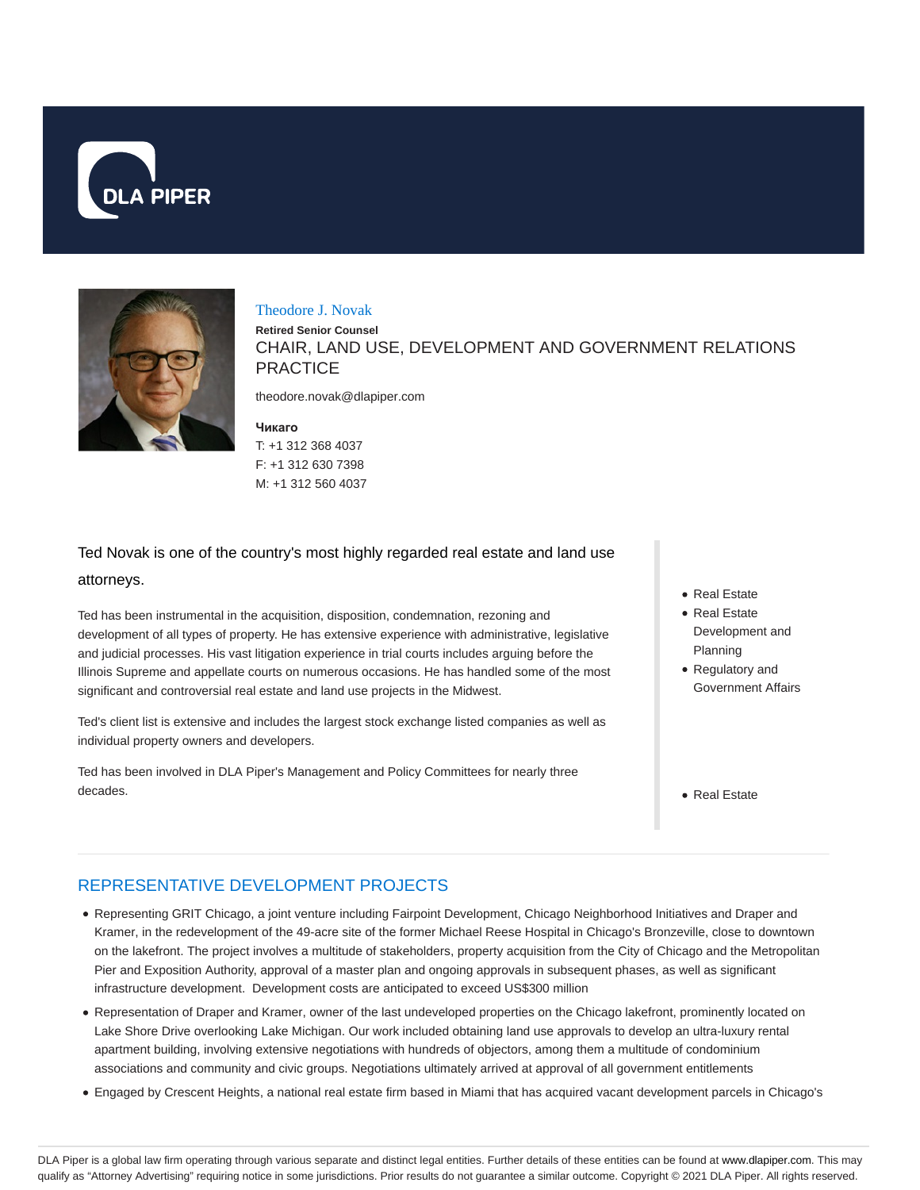



#### Theodore J. Novak

**Retired Senior Counsel** CHAIR, LAND USE, DEVELOPMENT AND GOVERNMENT RELATIONS **PRACTICE** 

theodore.novak@dlapiper.com

#### **Чикаго** T: +1 312 368 4037 F: +1 312 630 7398 M: +1 312 560 4037

# Ted Novak is one of the country's most highly regarded real estate and land use attorneys.

Ted has been instrumental in the acquisition, disposition, condemnation, rezoning and development of all types of property. He has extensive experience with administrative, legislative and judicial processes. His vast litigation experience in trial courts includes arguing before the Illinois Supreme and appellate courts on numerous occasions. He has handled some of the most significant and controversial real estate and land use projects in the Midwest.

Ted's client list is extensive and includes the largest stock exchange listed companies as well as individual property owners and developers.

Ted has been involved in DLA Piper's Management and Policy Committees for nearly three decades.

- Real Estate
- Real Estate Development and Planning
- Regulatory and Government Affairs
- Real Estate

# REPRESENTATIVE DEVELOPMENT PROJECTS

- Representing GRIT Chicago, a joint venture including Fairpoint Development, Chicago Neighborhood Initiatives and Draper and Kramer, in the redevelopment of the 49-acre site of the former Michael Reese Hospital in Chicago's Bronzeville, close to downtown on the lakefront. The project involves a multitude of stakeholders, property acquisition from the City of Chicago and the Metropolitan Pier and Exposition Authority, approval of a master plan and ongoing approvals in subsequent phases, as well as significant infrastructure development. Development costs are anticipated to exceed US\$300 million
- Representation of Draper and Kramer, owner of the last undeveloped properties on the Chicago lakefront, prominently located on Lake Shore Drive overlooking Lake Michigan. Our work included obtaining land use approvals to develop an ultra-luxury rental apartment building, involving extensive negotiations with hundreds of objectors, among them a multitude of condominium associations and community and civic groups. Negotiations ultimately arrived at approval of all government entitlements
- Engaged by Crescent Heights, a national real estate firm based in Miami that has acquired vacant development parcels in Chicago's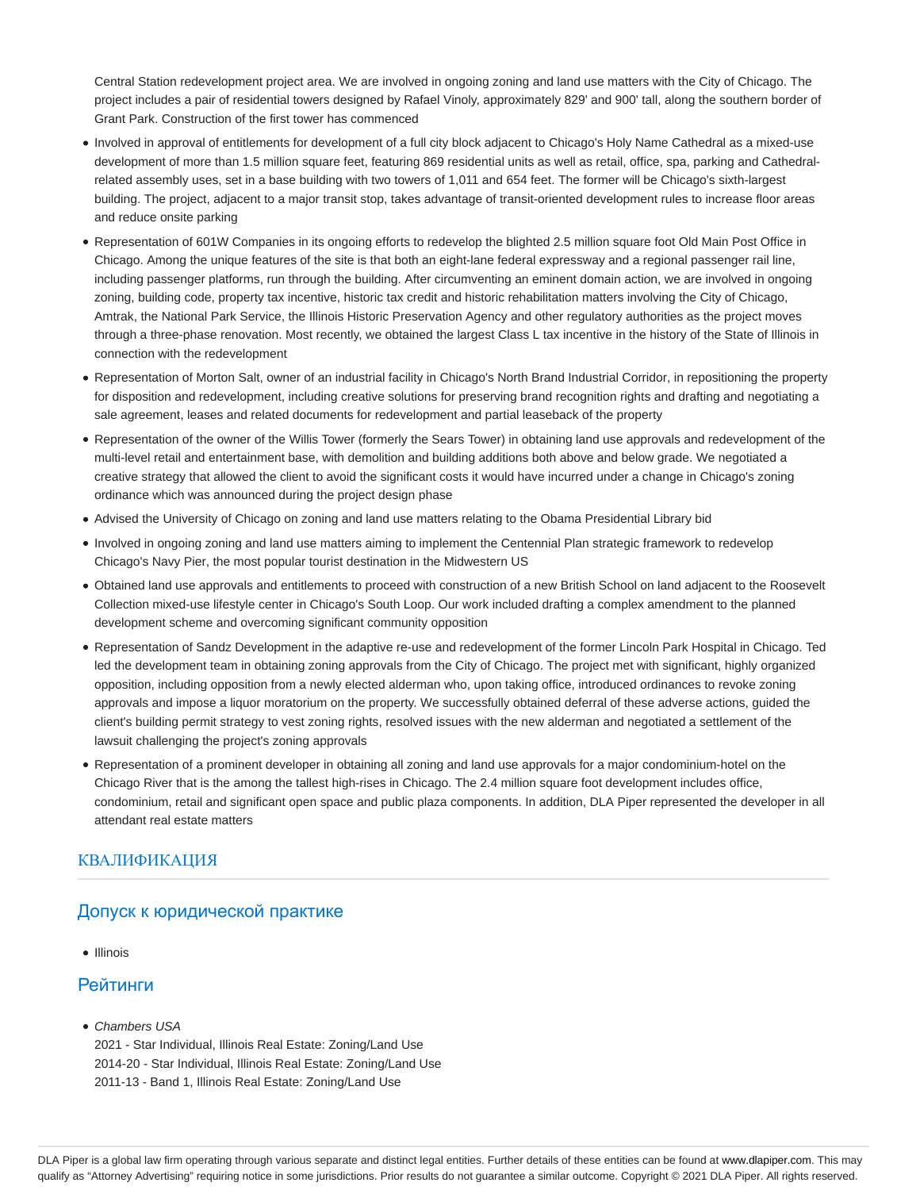Central Station redevelopment project area. We are involved in ongoing zoning and land use matters with the City of Chicago. The project includes a pair of residential towers designed by Rafael Vinoly, approximately 829' and 900' tall, along the southern border of Grant Park. Construction of the first tower has commenced

- Involved in approval of entitlements for development of a full city block adjacent to Chicago's Holy Name Cathedral as a mixed-use development of more than 1.5 million square feet, featuring 869 residential units as well as retail, office, spa, parking and Cathedralrelated assembly uses, set in a base building with two towers of 1,011 and 654 feet. The former will be Chicago's sixth-largest building. The project, adjacent to a major transit stop, takes advantage of transit-oriented development rules to increase floor areas and reduce onsite parking
- Representation of 601W Companies in its ongoing efforts to redevelop the blighted 2.5 million square foot Old Main Post Office in Chicago. Among the unique features of the site is that both an eight-lane federal expressway and a regional passenger rail line, including passenger platforms, run through the building. After circumventing an eminent domain action, we are involved in ongoing zoning, building code, property tax incentive, historic tax credit and historic rehabilitation matters involving the City of Chicago, Amtrak, the National Park Service, the Illinois Historic Preservation Agency and other regulatory authorities as the project moves through a three-phase renovation. Most recently, we obtained the largest Class L tax incentive in the history of the State of Illinois in connection with the redevelopment
- Representation of Morton Salt, owner of an industrial facility in Chicago's North Brand Industrial Corridor, in repositioning the property for disposition and redevelopment, including creative solutions for preserving brand recognition rights and drafting and negotiating a sale agreement, leases and related documents for redevelopment and partial leaseback of the property
- Representation of the owner of the Willis Tower (formerly the Sears Tower) in obtaining land use approvals and redevelopment of the multi-level retail and entertainment base, with demolition and building additions both above and below grade. We negotiated a creative strategy that allowed the client to avoid the significant costs it would have incurred under a change in Chicago's zoning ordinance which was announced during the project design phase
- Advised the University of Chicago on zoning and land use matters relating to the Obama Presidential Library bid
- Involved in ongoing zoning and land use matters aiming to implement the Centennial Plan strategic framework to redevelop Chicago's Navy Pier, the most popular tourist destination in the Midwestern US
- Obtained land use approvals and entitlements to proceed with construction of a new British School on land adjacent to the Roosevelt Collection mixed-use lifestyle center in Chicago's South Loop. Our work included drafting a complex amendment to the planned development scheme and overcoming significant community opposition
- Representation of Sandz Development in the adaptive re-use and redevelopment of the former Lincoln Park Hospital in Chicago. Ted led the development team in obtaining zoning approvals from the City of Chicago. The project met with significant, highly organized opposition, including opposition from a newly elected alderman who, upon taking office, introduced ordinances to revoke zoning approvals and impose a liquor moratorium on the property. We successfully obtained deferral of these adverse actions, guided the client's building permit strategy to vest zoning rights, resolved issues with the new alderman and negotiated a settlement of the lawsuit challenging the project's zoning approvals
- Representation of a prominent developer in obtaining all zoning and land use approvals for a major condominium-hotel on the Chicago River that is the among the tallest high-rises in Chicago. The 2.4 million square foot development includes office, condominium, retail and significant open space and public plaza components. In addition, DLA Piper represented the developer in all attendant real estate matters

### КВАЛИФИКАЦИЯ

# Допуск к юридической практике

• Illinois

### Рейтинги

Chambers USA

2021 - Star Individual, Illinois Real Estate: Zoning/Land Use 2014-20 - Star Individual, Illinois Real Estate: Zoning/Land Use 2011-13 - Band 1, Illinois Real Estate: Zoning/Land Use